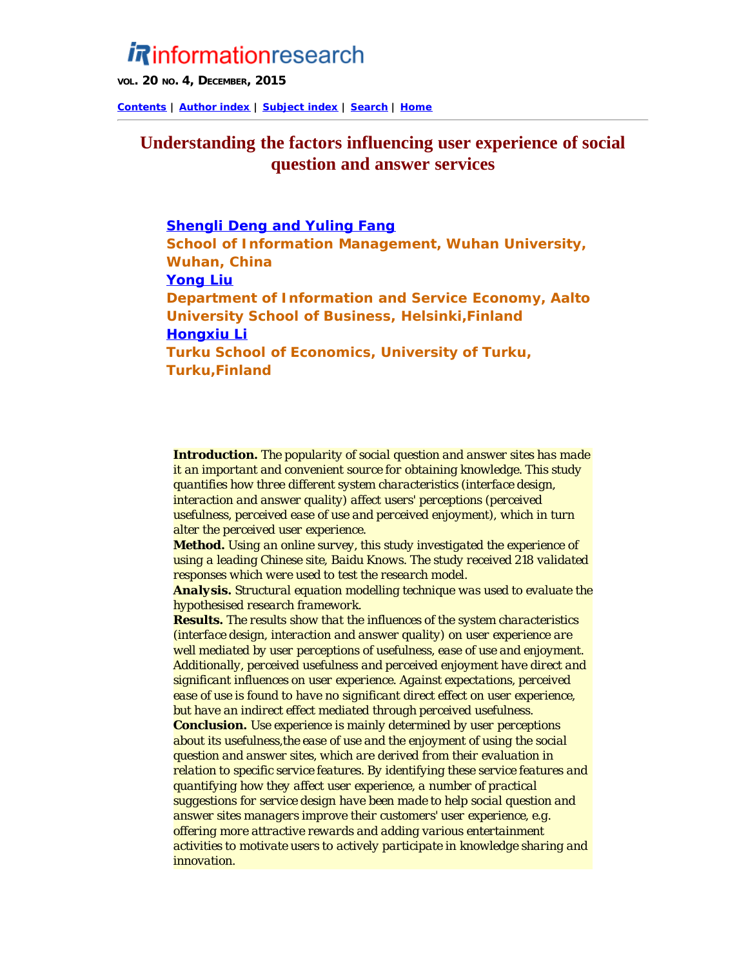# *i R*informationresearch

**VOL. 20 NO. 4, DECEMBER, 2015**

**[Contents](http://www.informationr.net/ir/20-4/infres204.html) | [Author index](http://www.informationr.net/ir/iraindex.html) | [Subject index](http://www.informationr.net/ir/irsindex.html) | [Search](http://www.informationr.net/ir/search.html) | [Home](http://www.informationr.net/ir/index.html)**

# **Understanding the factors influencing user experience of social question and answer services**

# **Shengli Deng and Yuling Fang**

**School of Information Management, Wuhan University, Wuhan, China Yong Liu Department of Information and Service Economy, Aalto University School of Business, Helsinki,Finland Hongxiu Li Turku School of Economics, University of Turku, Turku,Finland**

*Introduction. The popularity of social question and answer sites has made it an important and convenient source for obtaining knowledge. This study quantifies how three different system characteristics (interface design, interaction and answer quality) affect users' perceptions (perceived usefulness, perceived ease of use and perceived enjoyment), which in turn alter the perceived user experience.*

*Method. Using an online survey, this study investigated the experience of using a leading Chinese site, Baidu Knows. The study received 218 validated responses which were used to test the research model.*

*Analysis. Structural equation modelling technique was used to evaluate the hypothesised research framework.*

*Results. The results show that the influences of the system characteristics (interface design, interaction and answer quality) on user experience are well mediated by user perceptions of usefulness, ease of use and enjoyment. Additionally, perceived usefulness and perceived enjoyment have direct and significant influences on user experience. Against expectations, perceived ease of use is found to have no significant direct effect on user experience, but have an indirect effect mediated through perceived usefulness. Conclusion. Use experience is mainly determined by user perceptions about its usefulness,the ease of use and the enjoyment of using the social question and answer sites, which are derived from their evaluation in relation to specific service features. By identifying these service features and quantifying how they affect user experience, a number of practical suggestions for service design have been made to help social question and answer sites managers improve their customers' user experience, e.g. offering more attractive rewards and adding various entertainment activities to motivate users to actively participate in knowledge sharing and innovation.*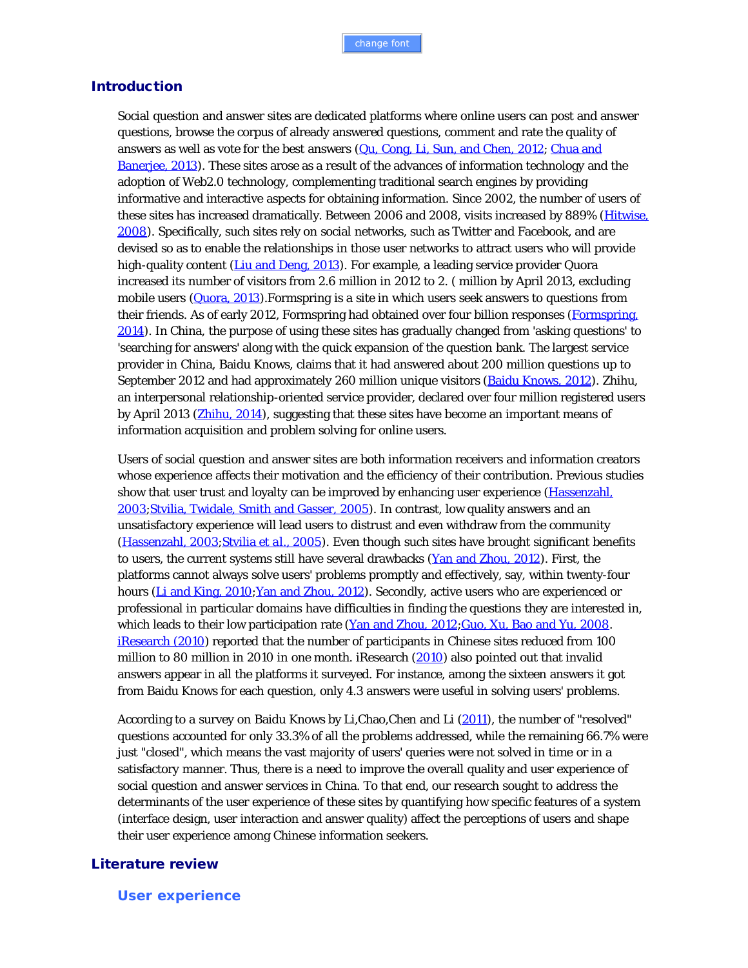## **Introduction**

Social question and answer sites are dedicated platforms where online users can post and answer questions, browse the corpus of already answered questions, comment and rate the quality of answers as well as vote for the best answers (Qu, Cong, Li, Sun, and Chen, 2012; Chua and Banerjee, 2013). These sites arose as a result of the advances of information technology and the adoption of Web2.0 technology, complementing traditional search engines by providing informative and interactive aspects for obtaining information. Since 2002, the number of users of these sites has increased dramatically. Between 2006 and 2008, visits increased by 889% (Hitwise, 2008). Specifically, such sites rely on social networks, such as Twitter and Facebook, and are devised so as to enable the relationships in those user networks to attract users who will provide high-quality content (Liu and Deng, 2013). For example, a leading service provider Quora increased its number of visitors from 2.6 million in 2012 to 2. ( million by April 2013, excluding mobile users (Quora, 2013). Formspring is a site in which users seek answers to questions from their friends. As of early 2012, Formspring had obtained over four billion responses (Formspring, 2014). In China, the purpose of using these sites has gradually changed from 'asking questions' to 'searching for answers' along with the quick expansion of the question bank. The largest service provider in China, Baidu Knows, claims that it had answered about 200 million questions up to September 2012 and had approximately 260 million unique visitors (Baidu Knows, 2012). Zhihu, an interpersonal relationship-oriented service provider, declared over four million registered users by April 2013 (Zhihu, 2014), suggesting that these sites have become an important means of information acquisition and problem solving for online users.

Users of social question and answer sites are both information receivers and information creators whose experience affects their motivation and the efficiency of their contribution. Previous studies show that user trust and loyalty can be improved by enhancing user experience (*Hassenzahl*, 2003;Stvilia, Twidale, Smith and Gasser, 2005). In contrast, low quality answers and an unsatisfactory experience will lead users to distrust and even withdraw from the community (Hassenzahl, 2003;Stvilia *et al*., 2005). Even though such sites have brought significant benefits to users, the current systems still have several drawbacks (Yan and Zhou, 2012). First, the platforms cannot always solve users' problems promptly and effectively, say, within twenty-four hours (Li and King, 2010; Yan and Zhou, 2012). Secondly, active users who are experienced or professional in particular domains have difficulties in finding the questions they are interested in, which leads to their low participation rate (Yan and Zhou, 2012;Guo, Xu, Bao and Yu, 2008. iResearch (2010) reported that the number of participants in Chinese sites reduced from 100 million to 80 million in 2010 in one month. iResearch (2010) also pointed out that invalid answers appear in all the platforms it surveyed. For instance, among the sixteen answers it got from Baidu Knows for each question, only 4.3 answers were useful in solving users' problems.

According to a survey on Baidu Knows by Li, Chao, Chen and Li (2011), the number of "resolved" questions accounted for only 33.3% of all the problems addressed, while the remaining 66.7% were just "closed", which means the vast majority of users' queries were not solved in time or in a satisfactory manner. Thus, there is a need to improve the overall quality and user experience of social question and answer services in China. To that end, our research sought to address the determinants of the user experience of these sites by quantifying how specific features of a system (interface design, user interaction and answer quality) affect the perceptions of users and shape their user experience among Chinese information seekers.

#### Literature review

**User experience**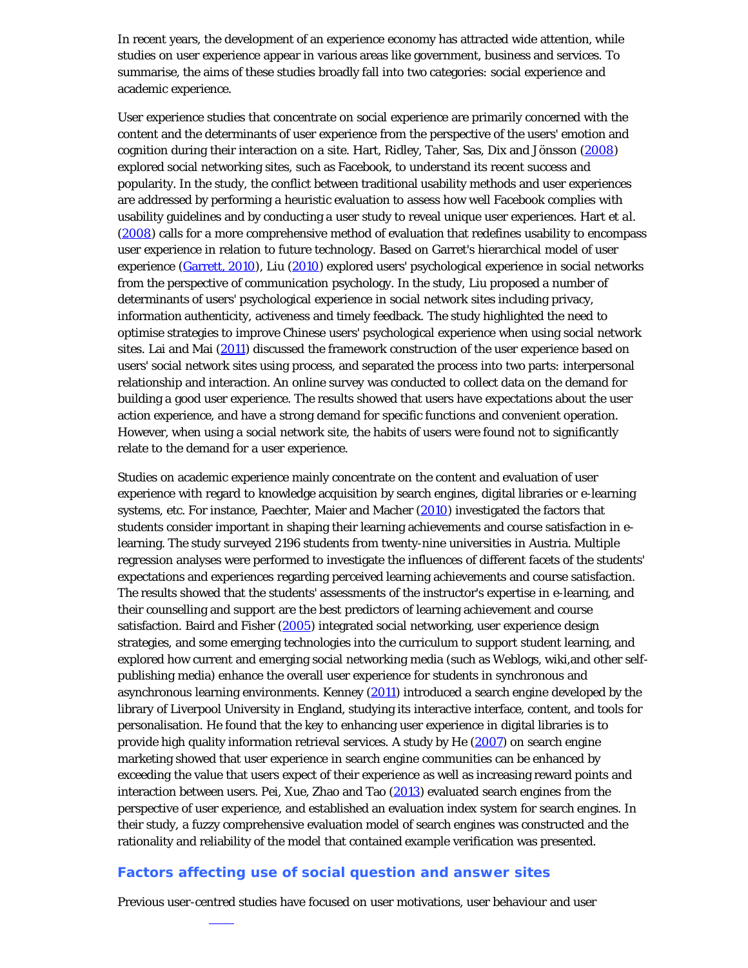In recent years, the development of an experience economy has attracted wide attention, while studies on user experience appear in various areas like government, business and services. To summarise, the aims of these studies broadly fall into two categories: social experience and academic experience.

User experience studies that concentrate on social experience are primarily concerned with the content and the determinants of user experience from the perspective of the users' emotion and cognition during their interaction on a site. Hart, Ridley, Taher, Sas, Dix and Jönsson (2008) explored social networking sites, such as Facebook, to understand its recent success and popularity. In the study, the conflict between traditional usability methods and user experiences are addressed by performing a heuristic evaluation to assess how well Facebook complies with usability guidelines and by conducting a user study to reveal unique user experiences. Hart *et al.* (2008) calls for a more comprehensive method of evaluation that redefines usability to encompass user experience in relation to future technology. Based on Garret's hierarchical model of user experience (Garrett, 2010), Liu (2010) explored users' psychological experience in social networks from the perspective of communication psychology. In the study, Liu proposed a number of determinants of users' psychological experience in social network sites including privacy, information authenticity, activeness and timely feedback. The study highlighted the need to optimise strategies to improve Chinese users' psychological experience when using social network sites. Lai and Mai (2011) discussed the framework construction of the user experience based on users' social network sites using process, and separated the process into two parts: interpersonal relationship and interaction. An online survey was conducted to collect data on the demand for building a good user experience. The results showed that users have expectations about the user action experience, and have a strong demand for specific functions and convenient operation. However, when using a social network site, the habits of users were found not to significantly relate to the demand for a user experience.

Studies on academic experience mainly concentrate on the content and evaluation of user experience with regard to knowledge acquisition by search engines, digital libraries or e-learning systems, etc. For instance, Paechter, Maier and Macher (2010) investigated the factors that students consider important in shaping their learning achievements and course satisfaction in elearning. The study surveyed 2196 students from twenty-nine universities in Austria. Multiple regression analyses were performed to investigate the influences of different facets of the students' expectations and experiences regarding perceived learning achievements and course satisfaction. The results showed that the students' assessments of the instructor's expertise in e-learning, and their counselling and support are the best predictors of learning achievement and course satisfaction. Baird and Fisher (2005) integrated social networking, user experience design strategies, and some emerging technologies into the curriculum to support student learning, and explored how current and emerging social networking media (such as Weblogs, wiki,and other selfpublishing media) enhance the overall user experience for students in synchronous and asynchronous learning environments. Kenney (2011) introduced a search engine developed by the library of Liverpool University in England, studying its interactive interface, content, and tools for personalisation. He found that the key to enhancing user experience in digital libraries is to provide high quality information retrieval services. A study by He (2007) on search engine marketing showed that user experience in search engine communities can be enhanced by exceeding the value that users expect of their experience as well as increasing reward points and interaction between users. Pei, Xue, Zhao and Tao (2013) evaluated search engines from the perspective of user experience, and established an evaluation index system for search engines. In their study, a fuzzy comprehensive evaluation model of search engines was constructed and the rationality and reliability of the model that contained example verification was presented.

#### **Factors affecting use of social question and answer sites**

Previous user-centred studies have focused on user motivations, user behaviour and user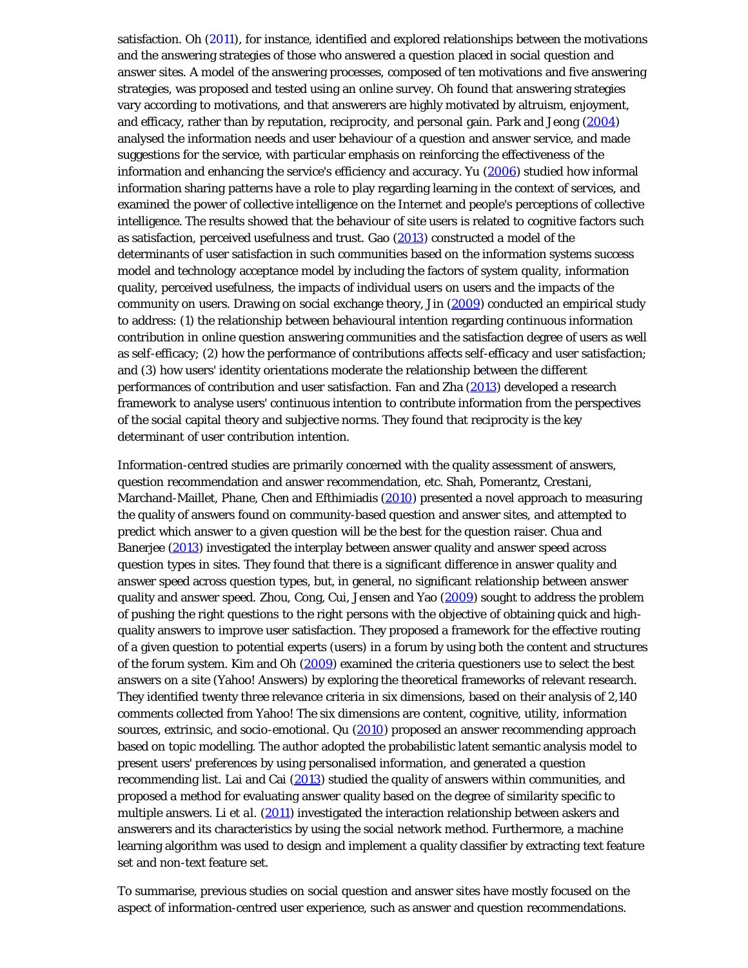satisfaction. Oh (2011), for instance, identified and explored relationships between the motivations and the answering strategies of those who answered a question placed in social question and answer sites. A model of the answering processes, composed of ten motivations and five answering strategies, was proposed and tested using an online survey. Oh found that answering strategies vary according to motivations, and that answerers are highly motivated by altruism, enjoyment, and efficacy, rather than by reputation, reciprocity, and personal gain. Park and Jeong (2004) analysed the information needs and user behaviour of a question and answer service, and made suggestions for the service, with particular emphasis on reinforcing the effectiveness of the information and enhancing the service's efficiency and accuracy. Yu (2006) studied how informal information sharing patterns have a role to play regarding learning in the context of services, and examined the power of collective intelligence on the Internet and people's perceptions of collective intelligence. The results showed that the behaviour of site users is related to cognitive factors such as satisfaction, perceived usefulness and trust. Gao  $(2013)$  constructed a model of the determinants of user satisfaction in such communities based on the information systems success model and technology acceptance model by including the factors of system quality, information quality, perceived usefulness, the impacts of individual users on users and the impacts of the community on users. Drawing on social exchange theory, Jin (2009) conducted an empirical study to address: (1) the relationship between behavioural intention regarding continuous information contribution in online question answering communities and the satisfaction degree of users as well as self-efficacy; (2) how the performance of contributions affects self-efficacy and user satisfaction; and (3) how users' identity orientations moderate the relationship between the different performances of contribution and user satisfaction. Fan and Zha (2013) developed a research framework to analyse users' continuous intention to contribute information from the perspectives of the social capital theory and subjective norms. They found that reciprocity is the key determinant of user contribution intention.

Information-centred studies are primarily concerned with the quality assessment of answers, question recommendation and answer recommendation, etc. Shah, Pomerantz, Crestani, Marchand-Maillet, Phane, Chen and Efthimiadis (2010) presented a novel approach to measuring the quality of answers found on community-based question and answer sites, and attempted to predict which answer to a given question will be the best for the question raiser. Chua and Banerjee (2013) investigated the interplay between answer quality and answer speed across question types in sites. They found that there is a significant difference in answer quality and answer speed across question types, but, in general, no significant relationship between answer quality and answer speed. Zhou, Cong, Cui, Jensen and Yao (2009) sought to address the problem of *pushing* the right questions to the right persons with the objective of obtaining quick and highquality answers to improve user satisfaction. They proposed a framework for the effective routing of a given question to potential experts (users) in a forum by using both the content and structures of the forum system. Kim and Oh (2009) examined the criteria questioners use to select the best answers on a site (Yahoo! Answers) by exploring the theoretical frameworks of relevant research. They identified twenty three relevance criteria in six dimensions, based on their analysis of 2,140 comments collected from Yahoo! The six dimensions are content, cognitive, utility, information sources, extrinsic, and socio-emotional. Qu (2010) proposed an answer recommending approach based on topic modelling. The author adopted the probabilistic latent semantic analysis model to present users' preferences by using personalised information, and generated a question recommending list. Lai and Cai (2013) studied the quality of answers within communities, and proposed a method for evaluating answer quality based on the degree of similarity specific to multiple answers. Li *et al.* (2011) investigated the interaction relationship between askers and answerers and its characteristics by using the social network method. Furthermore, a machine learning algorithm was used to design and implement a quality classifier by extracting text feature set and non-text feature set.

To summarise, previous studies on social question and answer sites have mostly focused on the aspect of information-centred user experience, such as answer and question recommendations.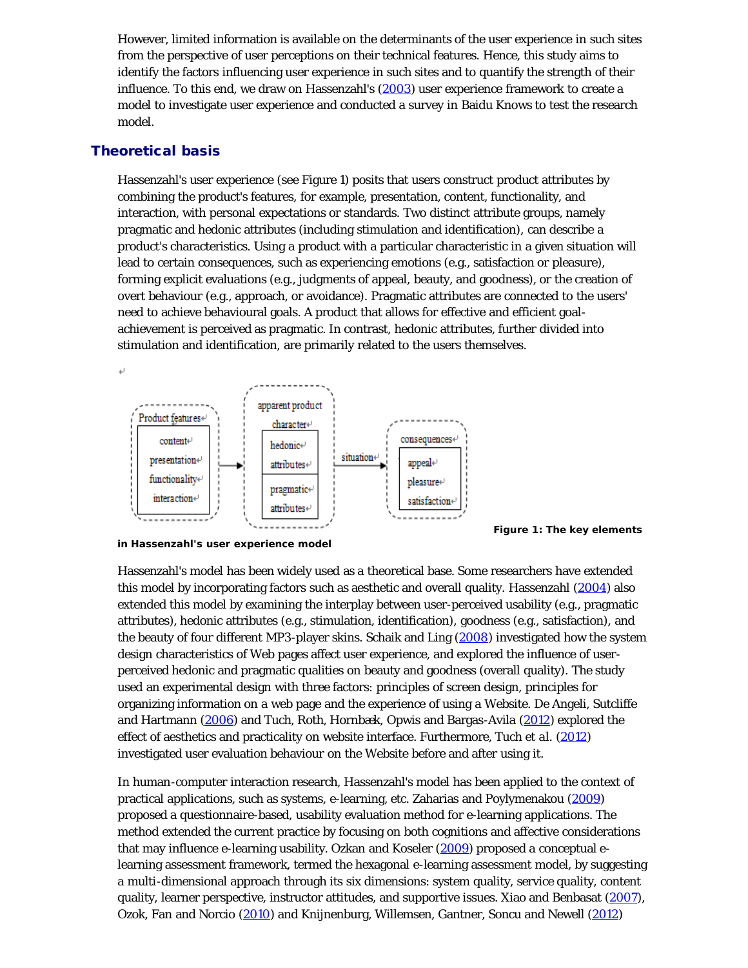However, limited information is available on the determinants of the user experience in such sites from the perspective of user perceptions on their technical features. Hence, this study aims to identify the factors influencing user experience in such sites and to quantify the strength of their influence. To this end, we draw on Hassenzahl's (2003) user experience framework to create a model to investigate user experience and conducted a survey in Baidu Knows to test the research model.

# Theoretical basis

Hassenzahl's user experience (see Figure 1) posits that users construct product attributes by combining the product's features, for example, presentation, content, functionality, and interaction, with personal expectations or standards. Two distinct attribute groups, namely pragmatic and hedonic attributes (including stimulation and identification), can describe a product's characteristics. Using a product with a particular characteristic in a given situation will lead to certain consequences, such as experiencing emotions (e.g., satisfaction or pleasure), forming explicit evaluations (e.g., judgments of appeal, beauty, and goodness), or the creation of overt behaviour (e.g., approach, or avoidance). Pragmatic attributes are connected to the users' need to achieve behavioural goals. A product that allows for effective and efficient goalachievement is perceived as pragmatic. In contrast, hedonic attributes, further divided into stimulation and identification, are primarily related to the users themselves.



**Figure 1: The key elements**

**in Hassenzahl's user experience model**

Hassenzahl's model has been widely used as a theoretical base. Some researchers have extended this model by incorporating factors such as aesthetic and overall quality. Hassenzahl (2004) also extended this model by examining the interplay between user-perceived usability (e.g., pragmatic attributes), hedonic attributes (e.g., stimulation, identification), goodness (e.g., satisfaction), and the beauty of four different MP3-player skins. Schaik and Ling (2008) investigated how the system design characteristics of Web pages affect user experience, and explored the influence of userperceived hedonic and pragmatic qualities on beauty and goodness (overall quality). The study used an experimental design with three factors: principles of screen design, principles for organizing information on a web page and the experience of using a Website. De Angeli, Sutcliffe and Hartmann (2006) and Tuch, Roth, Hornbæk, Opwis and Bargas-Avila (2012) explored the effect of aesthetics and practicality on website interface. Furthermore, Tuch *et al.* (2012) investigated user evaluation behaviour on the Website before and after using it.

In human-computer interaction research, Hassenzahl's model has been applied to the context of practical applications, such as systems, e-learning, etc. Zaharias and Poylymenakou (2009) proposed a questionnaire-based, usability evaluation method for e-learning applications. The method extended the current practice by focusing on both cognitions and affective considerations that may influence e-learning usability. Ozkan and Koseler (2009) proposed a conceptual elearning assessment framework, termed the hexagonal e-learning assessment model, by suggesting a multi-dimensional approach through its six dimensions: system quality, service quality, content quality, learner perspective, instructor attitudes, and supportive issues. Xiao and Benbasat (2007), Ozok, Fan and Norcio (2010) and Knijnenburg, Willemsen, Gantner, Soncu and Newell (2012)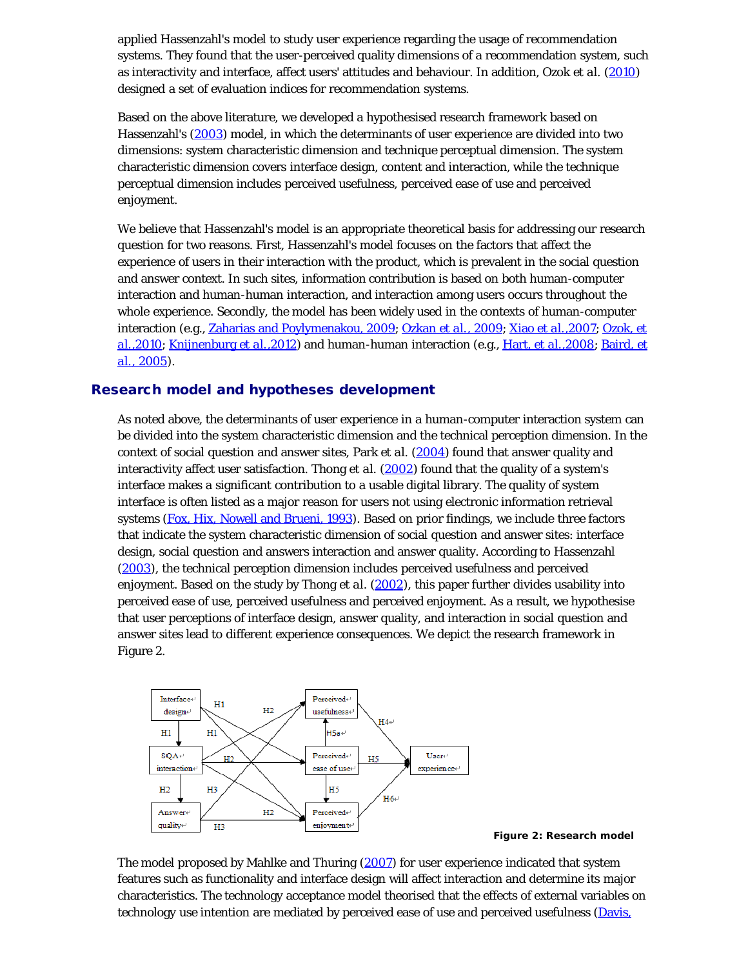applied Hassenzahl's model to study user experience regarding the usage of recommendation systems. They found that the user-perceived quality dimensions of a recommendation system, such as interactivity and interface, affect users' attitudes and behaviour. In addition, Ozok *et al.* (2010) designed a set of evaluation indices for recommendation systems.

Based on the above literature, we developed a hypothesised research framework based on Hassenzahl's (2003) model, in which the determinants of user experience are divided into two dimensions: system characteristic dimension and technique perceptual dimension. The system characteristic dimension covers interface design, content and interaction, while the technique perceptual dimension includes perceived usefulness, perceived ease of use and perceived enjoyment.

We believe that Hassenzahl's model is an appropriate theoretical basis for addressing our research question for two reasons. First, Hassenzahl's model focuses on the factors that affect the experience of users in their interaction with the product, which is prevalent in the social question and answer context. In such sites, information contribution is based on both human-computer interaction and human-human interaction, and interaction among users occurs throughout the whole experience. Secondly, the model has been widely used in the contexts of human-computer interaction (e.g., Zaharias and Poylymenakou, 2009; Ozkan *et al.*, 2009; Xiao *et al.*,2007; Ozok, *et al.*,2010; Knijnenburg *et al.*,2012) and human-human interaction (e.g., Hart, *et al.*,2008; Baird, *et al.*, 2005).

## Research model and hypotheses development

As noted above, the determinants of user experience in a human-computer interaction system can be divided into the system characteristic dimension and the technical perception dimension. In the context of social question and answer sites, Park *et al.* (2004) found that answer quality and interactivity affect user satisfaction. Thong *et al.* (2002) found that the quality of a system's interface makes a significant contribution to a usable digital library. The quality of system interface is often listed as a major reason for users not using electronic information retrieval systems (Fox, Hix, Nowell and Brueni, 1993). Based on prior findings, we include three factors that indicate the system characteristic dimension of social question and answer sites: interface design, social question and answers interaction and answer quality. According to Hassenzahl (2003), the technical perception dimension includes perceived usefulness and perceived enjoyment. Based on the study by Thong *et al*. (2002), this paper further divides usability into perceived ease of use, perceived usefulness and perceived enjoyment. As a result, we hypothesise that user perceptions of interface design, answer quality, and interaction in social question and answer sites lead to different experience consequences. We depict the research framework in Figure 2.





The model proposed by Mahlke and Thuring (2007) for user experience indicated that system features such as functionality and interface design will affect interaction and determine its major characteristics. The technology acceptance model theorised that the effects of external variables on technology use intention are mediated by perceived ease of use and perceived usefulness (Davis,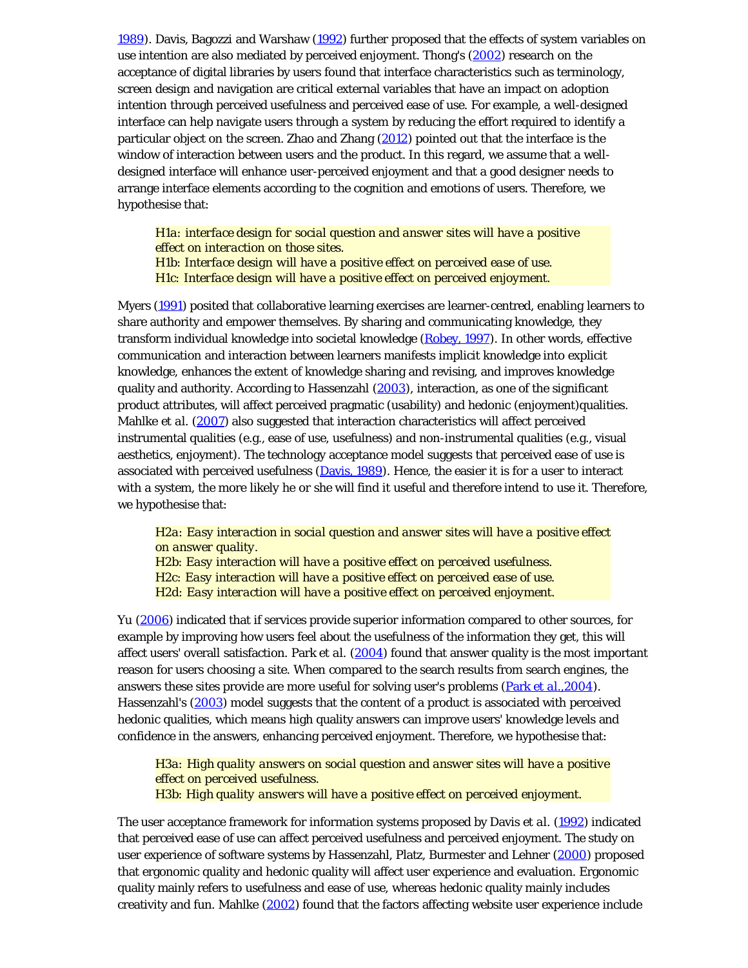1989). Davis, Bagozzi and Warshaw (1992) further proposed that the effects of system variables on use intention are also mediated by perceived enjoyment. Thong's (2002) research on the acceptance of digital libraries by users found that interface characteristics such as terminology, screen design and navigation are critical external variables that have an impact on adoption intention through perceived usefulness and perceived ease of use. For example, a well-designed interface can help navigate users through a system by reducing the effort required to identify a particular object on the screen. Zhao and Zhang (2012) pointed out that the interface is the window of interaction between users and the product. In this regard, we assume that a welldesigned interface will enhance user-perceived enjoyment and that a good designer needs to arrange interface elements according to the cognition and emotions of users. Therefore, we hypothesise that:

*H1a: interface design for social question and answer sites will have a positive effect on interaction on those sites. H1b: Interface design will have a positive effect on perceived ease of use. H1c: Interface design will have a positive effect on perceived enjoyment.*

Myers (1991) posited that collaborative learning exercises are learner-centred, enabling learners to share authority and empower themselves. By sharing and communicating knowledge, they transform individual knowledge into societal knowledge (Robey, 1997). In other words, effective communication and interaction between learners manifests implicit knowledge into explicit knowledge, enhances the extent of knowledge sharing and revising, and improves knowledge quality and authority. According to Hassenzahl (2003), interaction, as one of the significant product attributes, will affect perceived pragmatic (usability) and hedonic (enjoyment)qualities. Mahlke *et al.* (2007) also suggested that interaction characteristics will affect perceived instrumental qualities (e.g., ease of use, usefulness) and non-instrumental qualities (e.g., visual aesthetics, enjoyment). The technology acceptance model suggests that perceived ease of use is associated with perceived usefulness  $(Davis, 1989)$ . Hence, the easier it is for a user to interact with a system, the more likely he or she will find it useful and therefore intend to use it. Therefore, we hypothesise that:

*H2a: Easy interaction in social question and answer sites will have a positive effect on answer quality. H2b: Easy interaction will have a positive effect on perceived usefulness. H2c: Easy interaction will have a positive effect on perceived ease of use.* 

*H2d: Easy interaction will have a positive effect on perceived enjoyment.*

Yu (2006) indicated that if services provide superior information compared to other sources, for example by improving how users feel about the usefulness of the information they get, this will affect users' overall satisfaction. Park *et al.* (2004) found that answer quality is the most important reason for users choosing a site. When compared to the search results from search engines, the answers these sites provide are more useful for solving user's problems (Park *et al*.,2004). Hassenzahl's (2003) model suggests that the content of a product is associated with perceived hedonic qualities, which means high quality answers can improve users' knowledge levels and confidence in the answers, enhancing perceived enjoyment. Therefore, we hypothesise that:

*H3a: High quality answers on social question and answer sites will have a positive effect on perceived usefulness. H3b: High quality answers will have a positive effect on perceived enjoyment.*

The user acceptance framework for information systems proposed by Davis *et al.* (1992) indicated that perceived ease of use can affect perceived usefulness and perceived enjoyment. The study on user experience of software systems by Hassenzahl, Platz, Burmester and Lehner (2000) proposed that ergonomic quality and hedonic quality will affect user experience and evaluation. Ergonomic quality mainly refers to usefulness and ease of use, whereas hedonic quality mainly includes creativity and fun. Mahlke (2002) found that the factors affecting website user experience include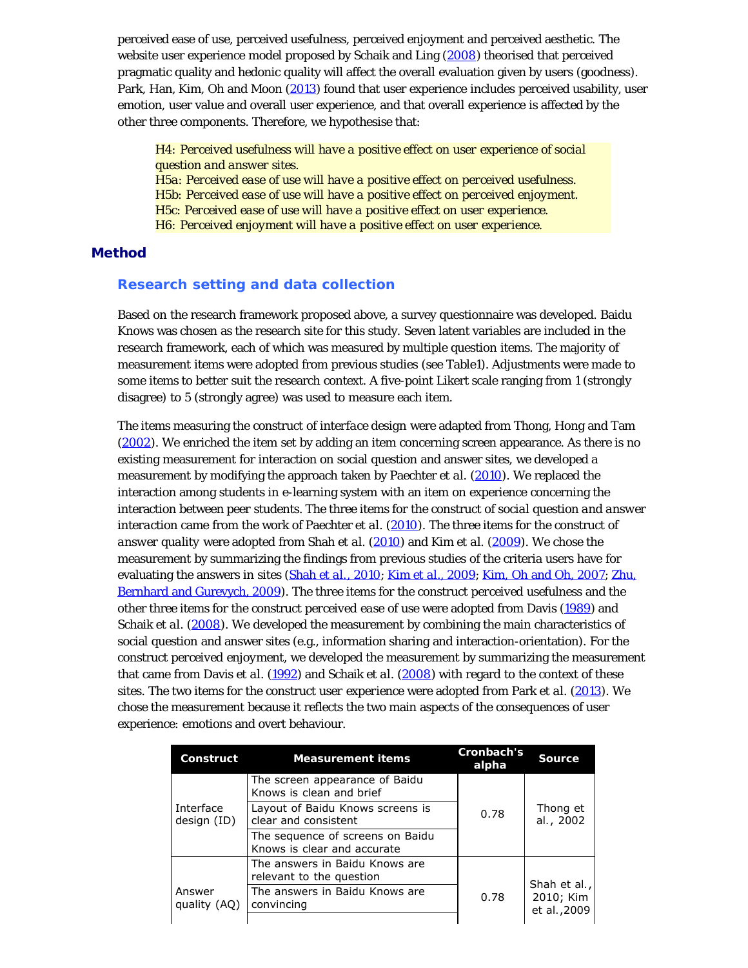perceived ease of use, perceived usefulness, perceived enjoyment and perceived aesthetic. The website user experience model proposed by Schaik and Ling (2008) theorised that perceived pragmatic quality and hedonic quality will affect the overall evaluation given by users (goodness). Park, Han, Kim, Oh and Moon (2013) found that user experience includes perceived usability, user emotion, user value and overall user experience, and that overall experience is affected by the other three components. Therefore, we hypothesise that:

*H4: Perceived usefulness will have a positive effect on user experience of social question and answer sites.* 

*H5a: Perceived ease of use will have a positive effect on perceived usefulness. H5b: Perceived ease of use will have a positive effect on perceived enjoyment. H5c: Perceived ease of use will have a positive effect on user experience. H6: Perceived enjoyment will have a positive effect on user experience.*

#### Method

#### **Research setting and data collection**

Based on the research framework proposed above, a survey questionnaire was developed. Baidu Knows was chosen as the research site for this study. Seven latent variables are included in the research framework, each of which was measured by multiple question items. The majority of measurement items were adopted from previous studies (see Table1). Adjustments were made to some items to better suit the research context. A five-point Likert scale ranging from 1 (strongly disagree) to 5 (strongly agree) was used to measure each item.

The items measuring the construct of *interface design* were adapted from Thong, Hong and Tam (2002). We enriched the item set by adding an item concerning screen appearance. As there is no existing measurement for interaction on social question and answer sites, we developed a measurement by modifying the approach taken by Paechter *et al.* (2010). We replaced the interaction among students in e-learning system with an item on experience concerning the interaction between peer students. The three items for the construct of *social question and answer interaction* came from the work of Paechter *et al*. (2010). The three items for the construct of *answer quality* were adopted from Shah *et al*. (2010) and Kim *et al.* (2009). We chose the measurement by summarizing the findings from previous studies of the criteria users have for evaluating the answers in sites (Shah *et al.*, 2010; Kim *et al*., 2009; Kim, Oh and Oh, 2007; Zhu, Bernhard and Gurevych, 2009). The three items for the construct *perceived usefulness* and the other three items for the construct *perceived ease of use* were adopted from Davis (1989) and Schaik *et al*. (2008). We developed the measurement by combining the main characteristics of social question and answer sites (e.g., information sharing and interaction-orientation). For the construct *perceived enjoyment*, we developed the measurement by summarizing the measurement that came from Davis *et al*. (1992) and Schaik *et al*. (2008) with regard to the context of these sites. The two items for the construct *user experience* were adopted from Park *et al*. (2013). We chose the measurement because it reflects the two main aspects of the consequences of user experience: emotions and overt behaviour.

| Construct                | <b>Measurement items</b>                                        | Cronbach's<br>alpha | <b>Source</b>                             |  |
|--------------------------|-----------------------------------------------------------------|---------------------|-------------------------------------------|--|
|                          | The screen appearance of Baidu<br>Knows is clean and brief      |                     |                                           |  |
| Interface<br>design (ID) | Layout of Baidu Knows screens is<br>clear and consistent        | 0.78                | Thong et<br>al., 2002                     |  |
|                          | The sequence of screens on Baidu<br>Knows is clear and accurate |                     |                                           |  |
|                          | The answers in Baidu Knows are<br>relevant to the question      |                     |                                           |  |
| Answer<br>quality (AQ)   | The answers in Baidu Knows are<br>convincing                    | 0.78                | Shah et al.,<br>2010; Kim<br>et al., 2009 |  |
|                          |                                                                 |                     |                                           |  |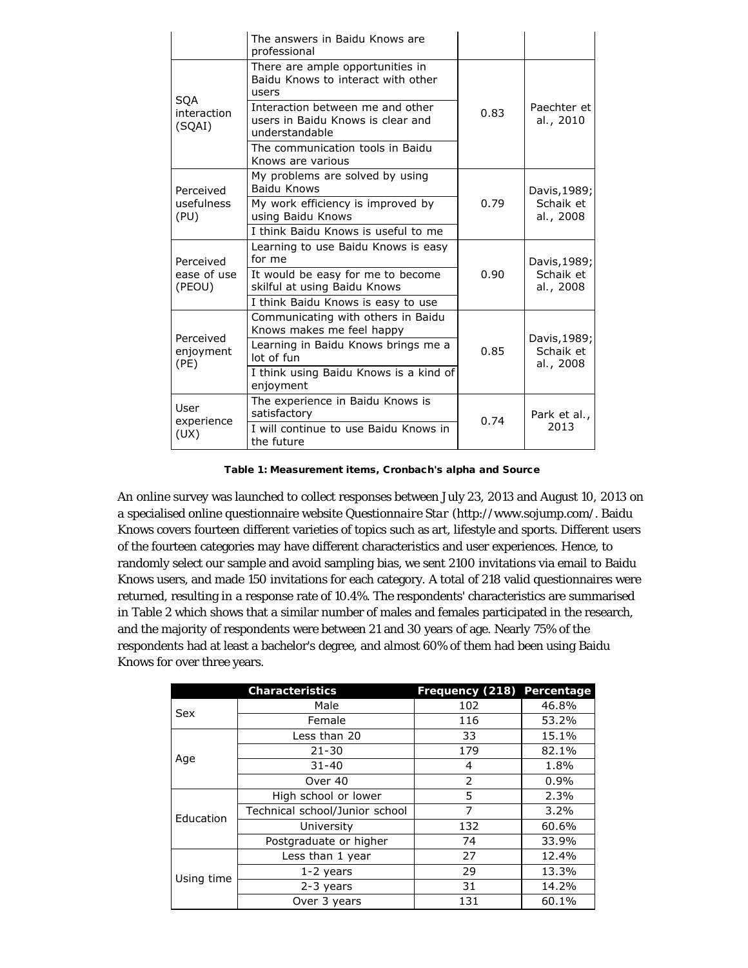|                                     | The answers in Baidu Knows are<br>professional                                          |      |                           |  |
|-------------------------------------|-----------------------------------------------------------------------------------------|------|---------------------------|--|
|                                     | There are ample opportunities in<br>Baidu Knows to interact with other<br>users         |      |                           |  |
| <b>SOA</b><br>interaction<br>(SQAI) | Interaction between me and other<br>users in Baidu Knows is clear and<br>understandable | 0.83 | Paechter et<br>al., 2010  |  |
|                                     | The communication tools in Baidu<br>Knows are various                                   |      |                           |  |
| Perceived                           | My problems are solved by using<br>Baidu Knows                                          |      | Davis, 1989;              |  |
| usefulness<br>(PU)                  | My work efficiency is improved by<br>using Baidu Knows                                  | 0.79 | Schaik et<br>al., 2008    |  |
|                                     | I think Baidu Knows is useful to me                                                     |      |                           |  |
|                                     |                                                                                         |      |                           |  |
| Perceived                           | Learning to use Baidu Knows is easy<br>for me                                           |      |                           |  |
| ease of use<br>(PEOU)               | It would be easy for me to become<br>skilful at using Baidu Knows                       | 0.90 | Schaik et<br>al., 2008    |  |
|                                     | I think Baidu Knows is easy to use                                                      |      | Davis, 1989;              |  |
|                                     | Communicating with others in Baidu<br>Knows makes me feel happy                         |      |                           |  |
| Perceived<br>enjoyment              | Learning in Baidu Knows brings me a<br>lot of fun                                       | 0.85 | Davis, 1989;<br>Schaik et |  |
| (PE)                                | I think using Baidu Knows is a kind of<br>enjoyment                                     |      | al., 2008                 |  |
| User<br>experience                  | The experience in Baidu Knows is<br>satisfactory                                        | 0.74 | Park et al.,              |  |

Table 1: Measurement items, Cronbach's alpha and Source

An online survey was launched to collect responses between July 23, 2013 and August 10, 2013 on a specialised online questionnaire website *Questionnaire Star* (http://www.sojump.com/. Baidu Knows covers fourteen different varieties of topics such as art, lifestyle and sports. Different users of the fourteen categories may have different characteristics and user experiences. Hence, to randomly select our sample and avoid sampling bias, we sent 2100 invitations via email to Baidu Knows users, and made 150 invitations for each category. A total of 218 valid questionnaires were returned, resulting in a response rate of 10.4%. The respondents' characteristics are summarised in Table 2 which shows that a similar number of males and females participated in the research, and the majority of respondents were between 21 and 30 years of age. Nearly 75% of the respondents had at least a bachelor's degree, and almost 60% of them had been using Baidu Knows for over three years.

|            | <b>Characteristics</b>         | Frequency (218) | Percentage |
|------------|--------------------------------|-----------------|------------|
| Sex        | Male                           | 102             | 46.8%      |
|            | Female                         | 116             | 53.2%      |
|            | Less than 20                   | 33              | 15.1%      |
|            | $21 - 30$                      | 179             | 82.1%      |
| Age        | $31 - 40$                      | 4               | 1.8%       |
|            | Over 40                        | $\mathcal{P}$   | 0.9%       |
| Education  | High school or lower           | 5               | 2.3%       |
|            | Technical school/Junior school | $\overline{7}$  | 3.2%       |
|            | University                     | 132             | 60.6%      |
|            | Postgraduate or higher         | 74              | 33.9%      |
|            | Less than 1 year               | 27              | 12.4%      |
| Using time | $1-2$ years                    | 29              | 13.3%      |
|            | 2-3 years                      | 31              | 14.2%      |
|            | Over 3 years                   | 131             | 60.1%      |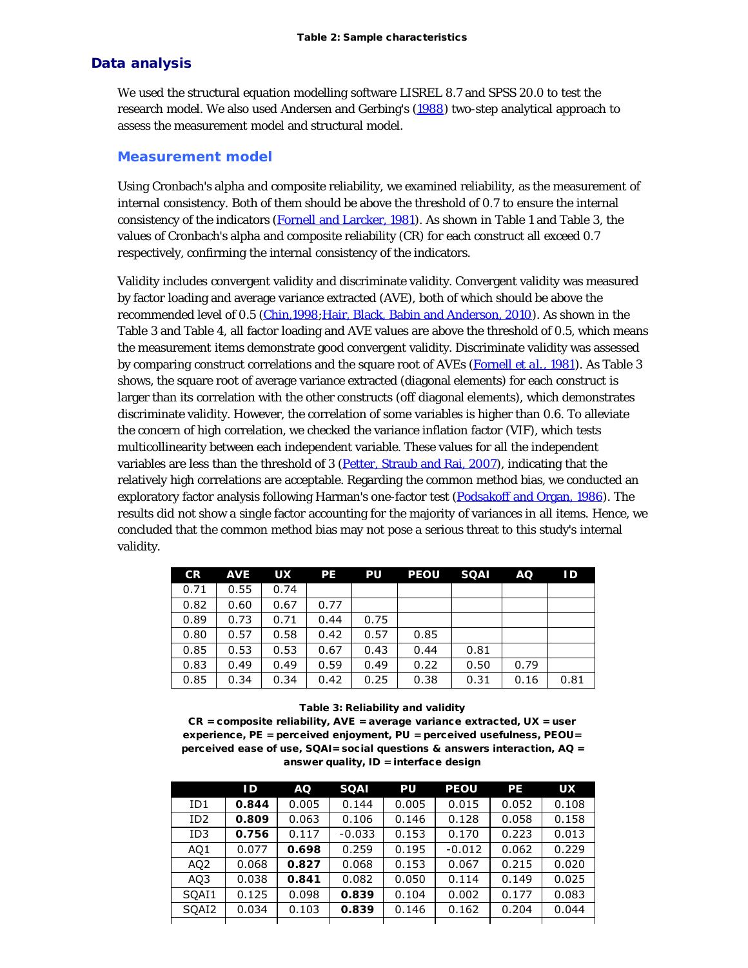#### Data analysis

We used the structural equation modelling software LISREL 8.7 and SPSS 20.0 to test the research model. We also used Andersen and Gerbing's (1988) two-step analytical approach to assess the measurement model and structural model.

#### **Measurement model**

Using Cronbach's alpha and composite reliability, we examined reliability, as the measurement of internal consistency. Both of them should be above the threshold of 0.7 to ensure the internal consistency of the indicators (Fornell and Larcker, 1981). As shown in Table 1 and Table 3, the values of Cronbach's alpha and composite reliability (CR) for each construct all exceed 0.7 respectively, confirming the internal consistency of the indicators.

Validity includes convergent validity and discriminate validity. Convergent validity was measured by factor loading and average variance extracted (AVE), both of which should be above the recommended level of 0.5 (Chin,1998; Hair, Black, Babin and Anderson, 2010). As shown in the Table 3 and Table 4, all factor loading and AVE values are above the threshold of 0.5, which means the measurement items demonstrate good convergent validity. Discriminate validity was assessed by comparing construct correlations and the square root of AVEs (Fornell *et al.*, 1981). As Table 3 shows, the square root of average variance extracted (diagonal elements) for each construct is larger than its correlation with the other constructs (off diagonal elements), which demonstrates discriminate validity. However, the correlation of some variables is higher than 0.6. To alleviate the concern of high correlation, we checked the variance inflation factor (VIF), which tests multicollinearity between each independent variable. These values for all the independent variables are less than the threshold of 3 (Petter, Straub and Rai, 2007), indicating that the relatively high correlations are acceptable. Regarding the common method bias, we conducted an exploratory factor analysis following Harman's one-factor test (Podsakoff and Organ, 1986). The results did not show a single factor accounting for the majority of variances in all items. Hence, we concluded that the common method bias may not pose a serious threat to this study's internal validity.

| <b>CR</b> | <b>AVE</b> | <b>UX</b> | <b>PE</b> | PU   | <b>PEOU</b> | <b>SOAI</b> | AQ.  | ID   |
|-----------|------------|-----------|-----------|------|-------------|-------------|------|------|
| 0.71      | 0.55       | 0.74      |           |      |             |             |      |      |
| 0.82      | 0.60       | 0.67      | 0.77      |      |             |             |      |      |
| 0.89      | 0.73       | 0.71      | 0.44      | 0.75 |             |             |      |      |
| 0.80      | 0.57       | 0.58      | 0.42      | 0.57 | 0.85        |             |      |      |
| 0.85      | 0.53       | 0.53      | 0.67      | 0.43 | 0.44        | 0.81        |      |      |
| 0.83      | 0.49       | 0.49      | 0.59      | 0.49 | 0.22        | 0.50        | 0.79 |      |
| 0.85      | 0.34       | 0.34      | 0.42      | 0.25 | 0.38        | 0.31        | 0.16 | 0.81 |

#### Table 3: Reliability and validity

 $CR = composite$  reliability,  $AVE = average$  variance extracted,  $UX = user$ experience, PE = perceived enjoyment, PU = perceived usefulness, PEOU= perceived ease of use, SQAI= social questions & answers interaction, AQ = answer quality, ID = interface design

|                 | ID    | AQ    | <b>SQAI</b> | PU    | <b>PEOU</b> | <b>PE</b> | <b>UX</b> |
|-----------------|-------|-------|-------------|-------|-------------|-----------|-----------|
| ID1             | 0.844 | 0.005 | 0.144       | 0.005 | 0.015       | 0.052     | 0.108     |
| ID <sub>2</sub> | 0.809 | 0.063 | 0.106       | 0.146 | 0.128       | 0.058     | 0.158     |
| ID3             | 0.756 | 0.117 | $-0.033$    | 0.153 | 0.170       | 0.223     | 0.013     |
| AQ1             | 0.077 | 0.698 | 0.259       | 0.195 | $-0.012$    | 0.062     | 0.229     |
| AQ <sub>2</sub> | 0.068 | 0.827 | 0.068       | 0.153 | 0.067       | 0.215     | 0.020     |
| AQ3             | 0.038 | 0.841 | 0.082       | 0.050 | 0.114       | 0.149     | 0.025     |
| SOAI1           | 0.125 | 0.098 | 0.839       | 0.104 | 0.002       | 0.177     | 0.083     |
| SQAI2           | 0.034 | 0.103 | 0.839       | 0.146 | 0.162       | 0.204     | 0.044     |
|                 |       |       |             |       |             |           |           |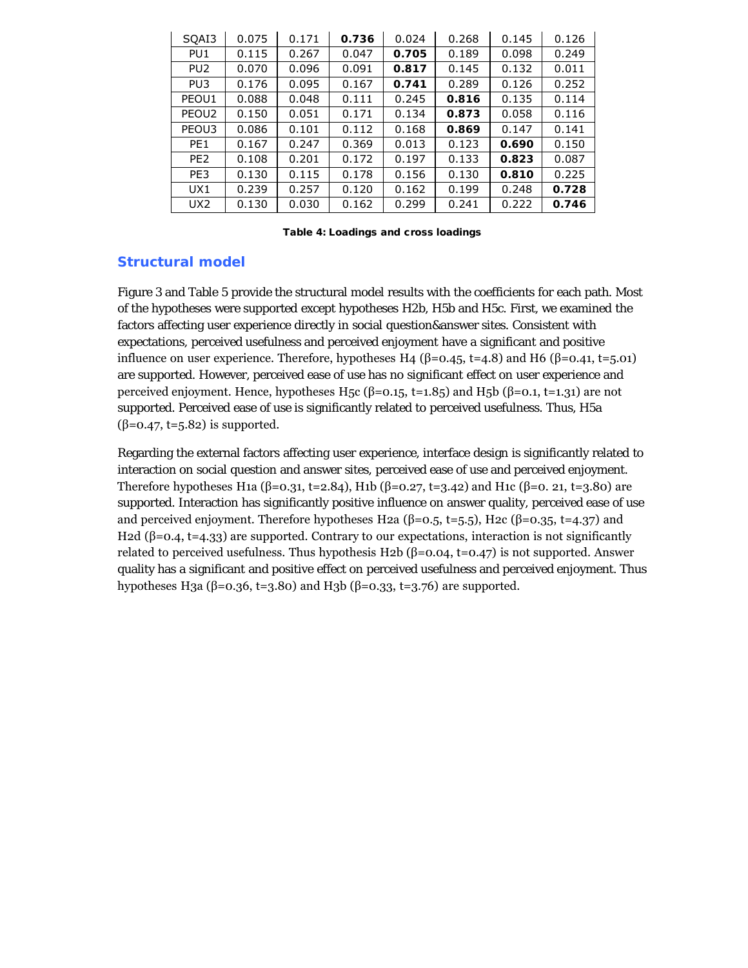| SQAI3             | 0.075 | 0.171 | 0.736 | 0.024 | 0.268 | 0.145 | 0.126 |
|-------------------|-------|-------|-------|-------|-------|-------|-------|
| PU <sub>1</sub>   | 0.115 | 0.267 | 0.047 | 0.705 | 0.189 | 0.098 | 0.249 |
| PU <sub>2</sub>   | 0.070 | 0.096 | 0.091 | 0.817 | 0.145 | 0.132 | 0.011 |
| PU <sub>3</sub>   | 0.176 | 0.095 | 0.167 | 0.741 | 0.289 | 0.126 | 0.252 |
| PEOU1             | 0.088 | 0.048 | 0.111 | 0.245 | 0.816 | 0.135 | 0.114 |
| PEOU <sub>2</sub> | 0.150 | 0.051 | 0.171 | 0.134 | 0.873 | 0.058 | 0.116 |
| PEOU3             | 0.086 | 0.101 | 0.112 | 0.168 | 0.869 | 0.147 | 0.141 |
| PE <sub>1</sub>   | 0.167 | 0.247 | 0.369 | 0.013 | 0.123 | 0.690 | 0.150 |
| PE <sub>2</sub>   | 0.108 | 0.201 | 0.172 | 0.197 | 0.133 | 0.823 | 0.087 |
| PE3               | 0.130 | 0.115 | 0.178 | 0.156 | 0.130 | 0.810 | 0.225 |
| UX1               | 0.239 | 0.257 | 0.120 | 0.162 | 0.199 | 0.248 | 0.728 |
| UX <sub>2</sub>   | 0.130 | 0.030 | 0.162 | 0.299 | 0.241 | 0.222 | 0.746 |

Table 4: Loadings and cross loadings

# **Structural model**

Figure 3 and Table 5 provide the structural model results with the coefficients for each path. Most of the hypotheses were supported except hypotheses H2b, H5b and H5c. First, we examined the factors affecting user experience directly in social question&answer sites. Consistent with expectations, perceived usefulness and perceived enjoyment have a significant and positive influence on user experience. Therefore, hypotheses H4 (β=0.45, t=4.8) and H6 (β=0.41, t=5.01) are supported. However, perceived ease of use has no significant effect on user experience and perceived enjoyment. Hence, hypotheses H<sub>5</sub>c (β=0.15, t=1.85) and H<sub>5</sub>b (β=0.1, t=1.31) are not supported. Perceived ease of use is significantly related to perceived usefulness. Thus, H5a  $(\beta=0.47, t=5.82)$  is supported.

Regarding the external factors affecting user experience, interface design is significantly related to interaction on social question and answer sites, perceived ease of use and perceived enjoyment. Therefore hypotheses H1a (β=0.31, t=2.84), H1b (β=0.27, t=3.42) and H1c (β=0. 21, t=3.80) are supported. Interaction has significantly positive influence on answer quality, perceived ease of use and perceived enjoyment. Therefore hypotheses H2a ( $\beta$ =0.5, t=5.5), H2c ( $\beta$ =0.35, t=4.37) and H2d (β=0.4, t=4.33) are supported. Contrary to our expectations, interaction is not significantly related to perceived usefulness. Thus hypothesis H2b  $(\beta=0.04, t=0.47)$  is not supported. Answer quality has a significant and positive effect on perceived usefulness and perceived enjoyment. Thus hypotheses H3a (β=0.36, t=3.80) and H3b (β=0.33, t=3.76) are supported.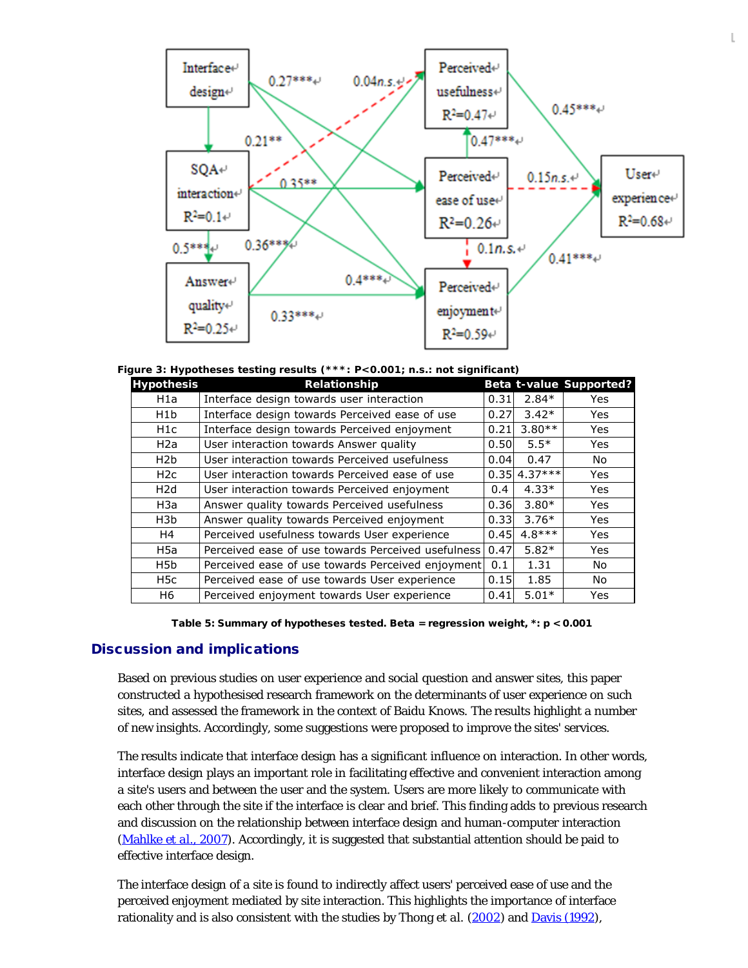

**Figure 3: Hypotheses testing results (\*\*\*: P<0.001; n.s.: not significant)** 

| <b>Hypothesis</b> | Relationship                                       |               |           | Beta t-value Supported? |
|-------------------|----------------------------------------------------|---------------|-----------|-------------------------|
| H1a               | Interface design towards user interaction          | 0.31          | $2.84*$   | Yes                     |
| H <sub>1</sub> b  | Interface design towards Perceived ease of use     | 0.27          | $3.42*$   | Yes                     |
| H <sub>1</sub> c  | Interface design towards Perceived enjoyment       | 0.21          | $3.80**$  | Yes                     |
| H <sub>2</sub> a  | User interaction towards Answer quality            | 0.50          | $5.5*$    | Yes                     |
| H <sub>2</sub> b  | User interaction towards Perceived usefulness      | 0.04          | 0.47      | No.                     |
| H <sub>2c</sub>   | User interaction towards Perceived ease of use     | 0.35          | $4.37***$ | Yes                     |
| H <sub>2d</sub>   | User interaction towards Perceived enjoyment       | $0.4^{\circ}$ | $4.33*$   | Yes                     |
| H3a               | Answer quality towards Perceived usefulness        | 0.36          | $3.80*$   | Yes                     |
| H3b               | Answer quality towards Perceived enjoyment         | 0.33          | $3.76*$   | Yes                     |
| H4                | Perceived usefulness towards User experience       | 0.45          | $4.8***$  | Yes                     |
| H <sub>5a</sub>   | Perceived ease of use towards Perceived usefulness | 0.47          | $5.82*$   | Yes                     |
| H5b               | Perceived ease of use towards Perceived enjoyment  | 0.1           | 1.31      | No.                     |
| H5c               | Perceived ease of use towards User experience      | 0.15          | 1.85      | No.                     |
| H <sub>6</sub>    | Perceived enjoyment towards User experience        | 0.41          | $5.01*$   | Yes                     |

Table 5: Summary of hypotheses tested. Beta = regression weight, \*: p < 0.001

#### Discussion and implications

Based on previous studies on user experience and social question and answer sites, this paper constructed a hypothesised research framework on the determinants of user experience on such sites, and assessed the framework in the context of Baidu Knows. The results highlight a number of new insights. Accordingly, some suggestions were proposed to improve the sites' services.

The results indicate that interface design has a significant influence on interaction. In other words, interface design plays an important role in facilitating effective and convenient interaction among a site's users and between the user and the system. Users are more likely to communicate with each other through the site if the interface is clear and brief. This finding adds to previous research and discussion on the relationship between interface design and human-computer interaction (Mahlke *et al*., 2007). Accordingly, it is suggested that substantial attention should be paid to effective interface design.

The interface design of a site is found to indirectly affect users' perceived ease of use and the perceived enjoyment mediated by site interaction. This highlights the importance of interface rationality and is also consistent with the studies by Thong *et al.* (2002) and Davis (1992),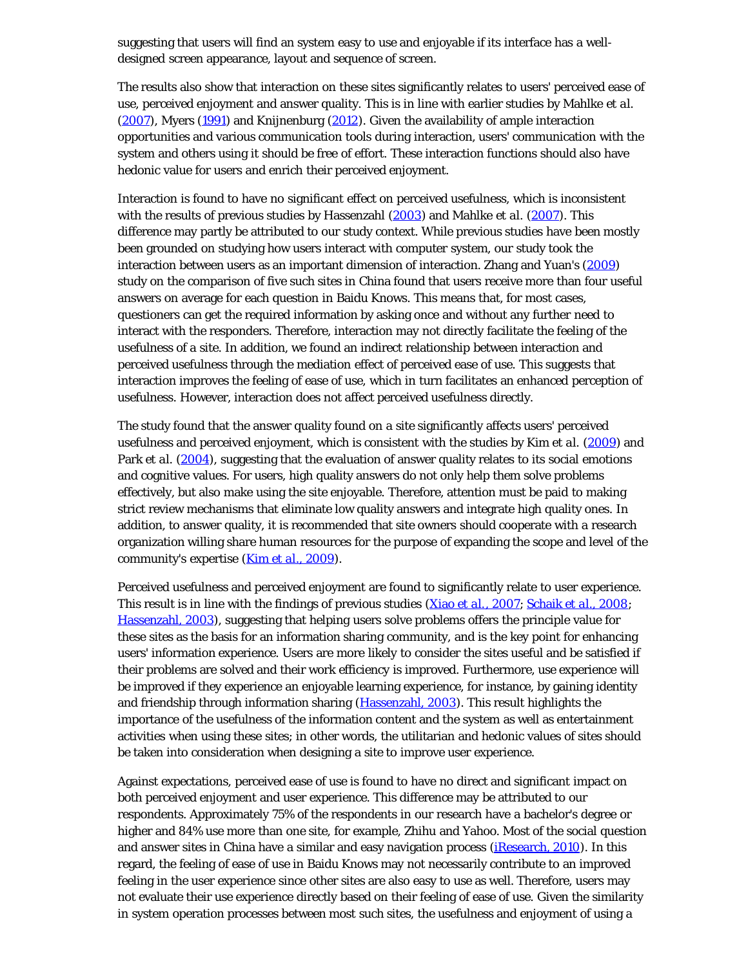suggesting that users will find an system easy to use and enjoyable if its interface has a welldesigned screen appearance, layout and sequence of screen.

The results also show that interaction on these sites significantly relates to users' perceived ease of use, perceived enjoyment and answer quality. This is in line with earlier studies by Mahlke *et al.* (2007), Myers (1991) and Knijnenburg (2012). Given the availability of ample interaction opportunities and various communication tools during interaction, users' communication with the system and others using it should be free of effort. These interaction functions should also have hedonic value for users and enrich their perceived enjoyment.

Interaction is found to have no significant effect on perceived usefulness, which is inconsistent with the results of previous studies by Hassenzahl (2003) and Mahlke *et al.* (2007). This difference may partly be attributed to our study context. While previous studies have been mostly been grounded on studying how users interact with computer system, our study took the interaction between users as an important dimension of interaction. Zhang and Yuan's (2009) study on the comparison of five such sites in China found that users receive more than four useful answers on average for each question in Baidu Knows. This means that, for most cases, questioners can get the required information by asking once and without any further need to interact with the responders. Therefore, interaction may not directly facilitate the feeling of the usefulness of a site. In addition, we found an indirect relationship between interaction and perceived usefulness through the mediation effect of perceived ease of use. This suggests that interaction improves the feeling of ease of use, which in turn facilitates an enhanced perception of usefulness. However, interaction does not affect perceived usefulness directly.

The study found that the answer quality found on a site significantly affects users' perceived usefulness and perceived enjoyment, which is consistent with the studies by Kim *et al.* (2009) and Park *et al.* (2004), suggesting that the evaluation of answer quality relates to its social emotions and cognitive values. For users, high quality answers do not only help them solve problems effectively, but also make using the site enjoyable. Therefore, attention must be paid to making strict review mechanisms that eliminate low quality answers and integrate high quality ones. In addition, to answer quality, it is recommended that site owners should cooperate with a research organization willing share human resources for the purpose of expanding the scope and level of the community's expertise (Kim *et al*., 2009).

Perceived usefulness and perceived enjoyment are found to significantly relate to user experience. This result is in line with the findings of previous studies (Xiao *et al.*, 2007; Schaik *et al*., 2008; Hassenzahl, 2003), suggesting that helping users solve problems offers the principle value for these sites as the basis for an information sharing community, and is the key point for enhancing users' information experience. Users are more likely to consider the sites useful and be satisfied if their problems are solved and their work efficiency is improved. Furthermore, use experience will be improved if they experience an enjoyable learning experience, for instance, by gaining identity and friendship through information sharing (Hassenzahl, 2003). This result highlights the importance of the usefulness of the information content and the system as well as entertainment activities when using these sites; in other words, the utilitarian and hedonic values of sites should be taken into consideration when designing a site to improve user experience.

Against expectations, perceived ease of use is found to have no direct and significant impact on both perceived enjoyment and user experience. This difference may be attributed to our respondents. Approximately 75% of the respondents in our research have a bachelor's degree or higher and 84% use more than one site, for example, Zhihu and Yahoo. Most of the social question and answer sites in China have a similar and easy navigation process (iResearch, 2010). In this regard, the feeling of ease of use in Baidu Knows may not necessarily contribute to an improved feeling in the user experience since other sites are also easy to use as well. Therefore, users may not evaluate their use experience directly based on their feeling of ease of use. Given the similarity in system operation processes between most such sites, the usefulness and enjoyment of using a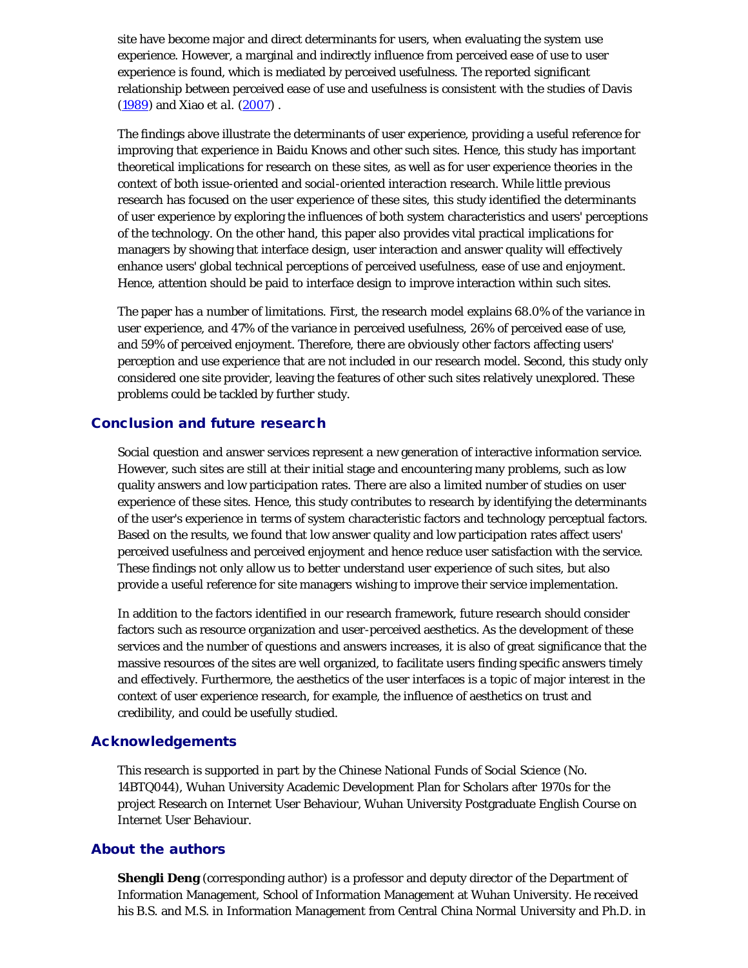site have become major and direct determinants for users, when evaluating the system use experience. However, a marginal and indirectly influence from perceived ease of use to user experience is found, which is mediated by perceived usefulness. The reported significant relationship between perceived ease of use and usefulness is consistent with the studies of Davis (1989) and Xiao *et al.* (2007) .

The findings above illustrate the determinants of user experience, providing a useful reference for improving that experience in Baidu Knows and other such sites. Hence, this study has important theoretical implications for research on these sites, as well as for user experience theories in the context of both issue-oriented and social-oriented interaction research. While little previous research has focused on the user experience of these sites, this study identified the determinants of user experience by exploring the influences of both system characteristics and users' perceptions of the technology. On the other hand, this paper also provides vital practical implications for managers by showing that interface design, user interaction and answer quality will effectively enhance users' global technical perceptions of perceived usefulness, ease of use and enjoyment. Hence, attention should be paid to interface design to improve interaction within such sites.

The paper has a number of limitations. First, the research model explains 68.0% of the variance in user experience, and 47% of the variance in perceived usefulness, 26% of perceived ease of use, and 59% of perceived enjoyment. Therefore, there are obviously other factors affecting users' perception and use experience that are not included in our research model. Second, this study only considered one site provider, leaving the features of other such sites relatively unexplored. These problems could be tackled by further study.

# Conclusion and future research

Social question and answer services represent a new generation of interactive information service. However, such sites are still at their initial stage and encountering many problems, such as low quality answers and low participation rates. There are also a limited number of studies on user experience of these sites. Hence, this study contributes to research by identifying the determinants of the user's experience in terms of system characteristic factors and technology perceptual factors. Based on the results, we found that low answer quality and low participation rates affect users' perceived usefulness and perceived enjoyment and hence reduce user satisfaction with the service. These findings not only allow us to better understand user experience of such sites, but also provide a useful reference for site managers wishing to improve their service implementation.

In addition to the factors identified in our research framework, future research should consider factors such as resource organization and user-perceived aesthetics. As the development of these services and the number of questions and answers increases, it is also of great significance that the massive resources of the sites are well organized, to facilitate users finding specific answers timely and effectively. Furthermore, the aesthetics of the user interfaces is a topic of major interest in the context of user experience research, for example, the influence of aesthetics on trust and credibility, and could be usefully studied.

# Acknowledgements

This research is supported in part by the Chinese National Funds of Social Science (No. 14BTQ044), Wuhan University Academic Development Plan for Scholars after 1970s for the project Research on Internet User Behaviour, Wuhan University Postgraduate English Course on Internet User Behaviour.

# About the authors

**Shengli Deng** (corresponding author) is a professor and deputy director of the Department of Information Management, School of Information Management at Wuhan University. He received his B.S. and M.S. in Information Management from Central China Normal University and Ph.D. in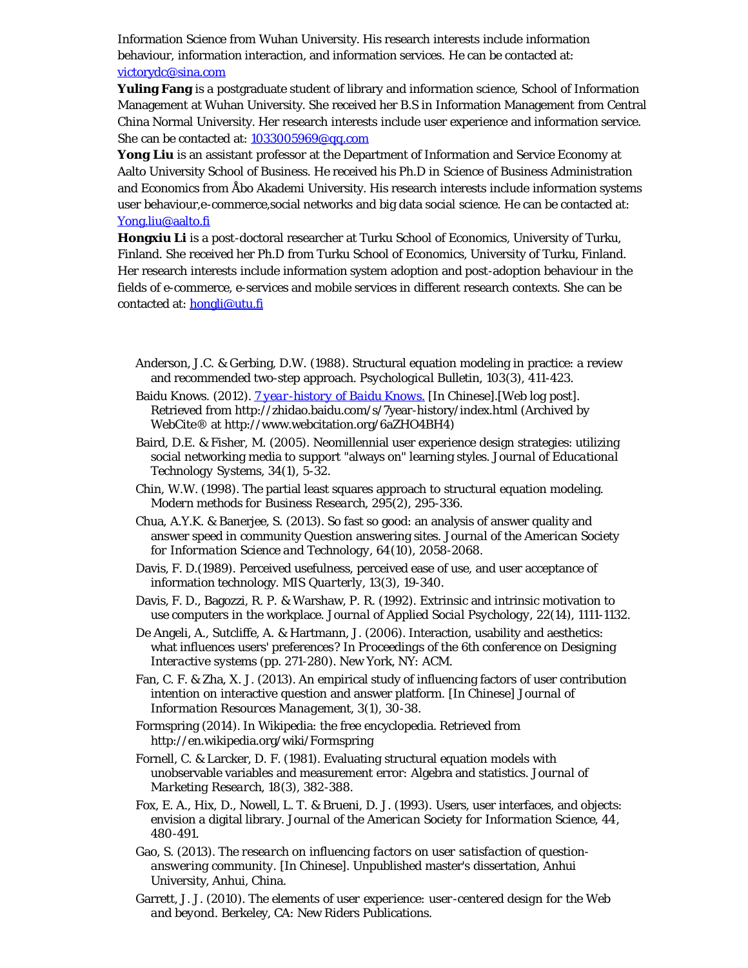Information Science from Wuhan University. His research interests include information behaviour, information interaction, and information services. He can be contacted at: [victorydc@sina.com](mailto:victorydc@sina.com)

**Yuling Fang** is a postgraduate student of library and information science, School of Information Management at Wuhan University. She received her B.S in Information Management from Central China Normal University. Her research interests include user experience and information service. She can be contacted at: [1033005969@qq.com](mailto:1033005969@qq.com)

Yong Liu is an assistant professor at the Department of Information and Service Economy at Aalto University School of Business. He received his Ph.D in Science of Business Administration and Economics from Åbo Akademi University. His research interests include information systems user behaviour,e-commerce,social networks and big data social science. He can be contacted at: [Yong.liu@aalto.fi](mailto:Yong.liu@aalto.fi)

**Hongxiu Li** is a post-doctoral researcher at Turku School of Economics, University of Turku, Finland. She received her Ph.D from Turku School of Economics, University of Turku, Finland. Her research interests include information system adoption and post-adoption behaviour in the fields of e-commerce, e-services and mobile services in different research contexts. She can be contacted at: [hongli@utu.fi](mailto:hongli@utu.fi)

- Anderson, J.C. & Gerbing, D.W. (1988). Structural equation modeling in practice: a review and recommended two-step approach. *Psychological Bulletin, 103*(3), 411-423.
- Baidu Knows. (2012). *[7 year-history of Baidu Knows.](http://www.webcitation.org/6aZHO4BH4)* [In Chinese].[Web log post]. Retrieved from http://zhidao.baidu.com/s/7year-history/index.html (Archived by WebCite® at http://www.webcitation.org/6aZHO4BH4)
- Baird, D.E. & Fisher, M. (2005). Neomillennial user experience design strategies: utilizing social networking media to support "always on" learning styles. *Journal of Educational Technology Systems, 34*(1), 5-32.
- Chin, W.W. (1998). The partial least squares approach to structural equation modeling. *Modern methods for Business Research, 295*(2), 295-336.
- Chua, A.Y.K. & Banerjee, S. (2013). So fast so good: an analysis of answer quality and answer speed in community Question answering sites. *Journal of the American Society for Information Science and Technology, 64*(10), 2058-2068.
- Davis, F. D.(1989). Perceived usefulness, perceived ease of use, and user acceptance of information technology. *MIS Quarterly, 13*(3), 19-340.
- Davis, F. D., Bagozzi, R. P. & Warshaw, P. R. (1992). Extrinsic and intrinsic motivation to use computers in the workplace. *Journal of Applied Social Psychology, 22*(14), 1111-1132.
- De Angeli, A., Sutcliffe, A. & Hartmann, J. (2006). Interaction, usability and aesthetics: what influences users' preferences? In *Proceedings of the 6th conference on Designing Interactive systems* (pp. 271-280). New York, NY: ACM.
- Fan, C. F. & Zha, X. J. (2013). An empirical study of influencing factors of user contribution intention on interactive question and answer platform. [In Chinese] *Journal of Information Resources Management, 3*(1), 30-38.
- Formspring (2014). In Wikipedia: the free encyclopedia. Retrieved from http://en.wikipedia.org/wiki/Formspring
- Fornell, C. & Larcker, D. F. (1981). Evaluating structural equation models with unobservable variables and measurement error: Algebra and statistics. *Journal of Marketing Research, 18*(3), 382-388.
- Fox, E. A., Hix, D., Nowell, L. T. & Brueni, D. J. (1993). Users, user interfaces, and objects: envision a digital library. *Journal of the American Society for Information Science, 44*, 480-491.
- Gao, S. (2013). *The research on influencing factors on user satisfaction of questionanswering community.* [In Chinese]. Unpublished master's dissertation, Anhui University, Anhui, China.
- Garrett, J. J. (2010). *The elements of user experience: user-centered design for the Web and beyond*. Berkeley, CA: New Riders Publications.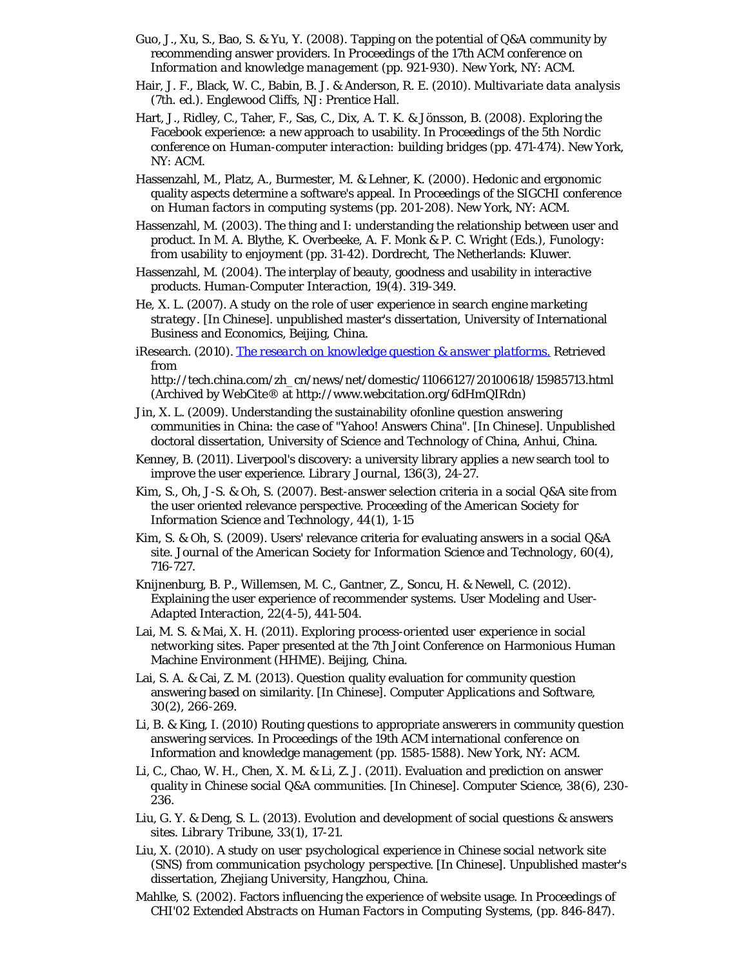- Guo, J., Xu, S., Bao, S. & Yu, Y. (2008). Tapping on the potential of Q&A community by recommending answer providers. In *Proceedings of the 17th ACM conference on Information and knowledge management* (pp. 921-930). New York, NY: ACM.
- Hair, J. F., Black, W. C., Babin, B. J. & Anderson, R. E. (2010). *Multivariate data analysis* (7th. ed.). Englewood Cliffs, NJ: Prentice Hall.
- Hart, J., Ridley, C., Taher, F., Sas, C., Dix, A. T. K. & Jönsson, B. (2008). Exploring the Facebook experience: a new approach to usability. In *Proceedings of the 5th Nordic conference on Human-computer interaction: building bridges* (pp. 471-474). New York, NY: ACM.
- Hassenzahl, M., Platz, A., Burmester, M. & Lehner, K. (2000). Hedonic and ergonomic quality aspects determine a software's appeal. In *Proceedings of the SIGCHI conference on Human factors in computing systems* (pp. 201-208). New York, NY: ACM.
- Hassenzahl, M. (2003). The thing and I: understanding the relationship between user and product. In M. A. Blythe, K. Overbeeke, A. F. Monk & P. C. Wright (Eds.), *Funology: from usability to enjoyment* (pp. 31-42). Dordrecht, The Netherlands: Kluwer.
- Hassenzahl, M. (2004). The interplay of beauty, goodness and usability in interactive products. *Human-Computer Interaction, 19*(4). 319-349.
- He, X. L. (2007). *A study on the role of user experience in search engine marketing strategy*. [In Chinese]. unpublished master's dissertation, University of International Business and Economics, Beijing, China.
- iResearch. (2010). *[The research on knowledge question & answer platforms.](http://www.webcitation.org/6dHmQIRdn)* Retrieved from

http://tech.china.com/zh\_cn/news/net/domestic/11066127/20100618/15985713.html (Archived by WebCite® at http://www.webcitation.org/6dHmQIRdn)

- Jin, X. L. (2009). Understanding the sustainability ofonline question answering communities in China: the case of "Yahoo! Answers China". [In Chinese]. Unpublished doctoral dissertation, University of Science and Technology of China, Anhui, China.
- Kenney, B. (2011). Liverpool's discovery: a university library applies a new search tool to improve the user experience. *Library Journal, 136*(3), 24-27.
- Kim, S., Oh, J-S. & Oh, S. (2007). Best-answer selection criteria in a social Q&A site from the user oriented relevance perspective. *Proceeding of the American Society for Information Science and Technology, 44*(1), 1-15
- Kim, S. & Oh, S. (2009). Users' relevance criteria for evaluating answers in a social Q&A site. *Journal of the American Society for Information Science and Technology, 60*(4), 716-727.
- Knijnenburg, B. P., Willemsen, M. C., Gantner, Z., Soncu, H. & Newell, C. (2012). Explaining the user experience of recommender systems. *User Modeling and User-Adapted Interaction, 22*(4-5), 441-504.
- Lai, M. S. & Mai, X. H. (2011). *Exploring process-oriented user experience in social networking sites*. Paper presented at the 7th Joint Conference on Harmonious Human Machine Environment (HHME). Beijing, China.
- Lai, S. A. & Cai, Z. M. (2013). Question quality evaluation for community question answering based on similarity. [In Chinese]. *Computer Applications and Software, 30*(2), 266-269.
- Li, B. & King, I. (2010) Routing questions to appropriate answerers in community question answering services. In Proceedings of the 19th ACM international conference on Information and knowledge management (pp. 1585-1588). New York, NY: ACM.
- Li, C., Chao, W. H., Chen, X. M. & Li, Z. J. (2011). Evaluation and prediction on answer quality in Chinese social Q&A communities. [In Chinese]. *Computer Science, 38*(6), 230- 236.
- Liu, G. Y. & Deng, S. L. (2013). Evolution and development of social questions & answers sites. *Library Tribune, 33*(1), 17-21.
- Liu, X. (2010). *A study on user psychological experience in Chinese social network site (SNS) from communication psychology perspective.* [In Chinese]. Unpublished master's dissertation, Zhejiang University, Hangzhou, China.
- Mahlke, S. (2002). Factors influencing the experience of website usage. In *Proceedings of CHI'02 Extended Abstracts on Human Factors in Computing Systems, (pp. 846-847)*.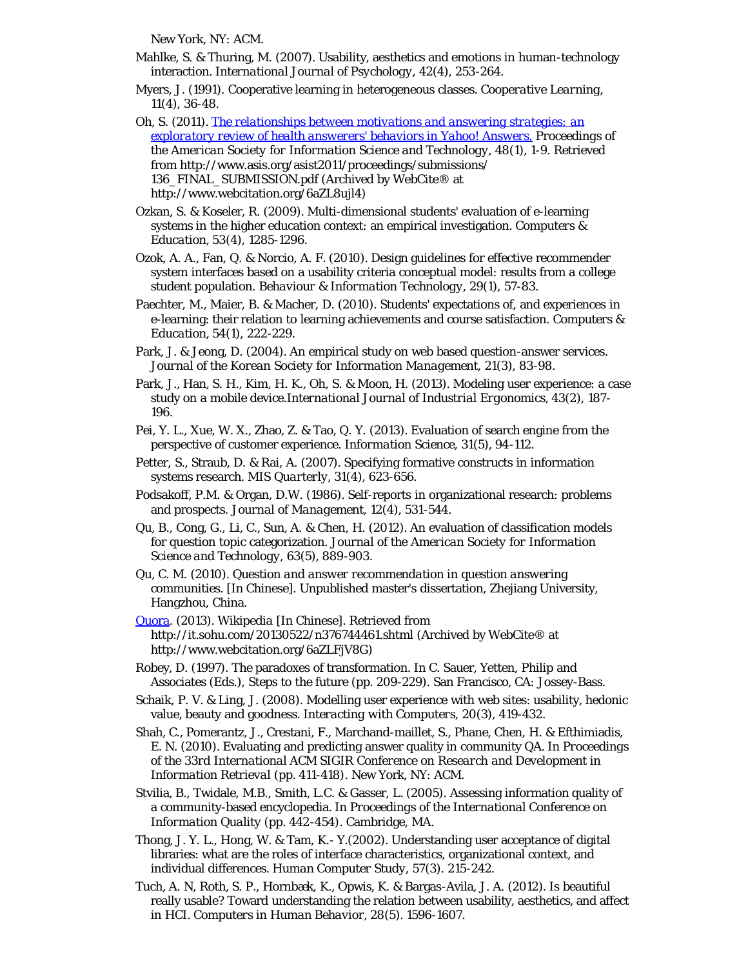New York, NY: ACM.

- Mahlke, S. & Thuring, M. (2007). Usability, aesthetics and emotions in human-technology interaction. *International Journal of Psychology, 42*(4), 253-264.
- Myers, J. (1991). Cooperative learning in heterogeneous classes. *Cooperative Learning, 11*(4), 36-48.
- Oh, S. (2011). *[The relationships between motivations and answering strategies: an](http://www.webcitation.org/6aZL8ujl4) [exploratory review of health answerers' behaviors in Yahoo! Answers.](http://www.webcitation.org/6aZL8ujl4) Proceedings of the American Society for Information Science and Technology, 48*(1), 1-9. Retrieved from http://www.asis.org/asist2011/proceedings/submissions/ 136\_FINAL\_SUBMISSION.pdf (Archived by WebCite® at http://www.webcitation.org/6aZL8ujl4)
- Ozkan, S. & Koseler, R. (2009). Multi-dimensional students' evaluation of e-learning systems in the higher education context: an empirical investigation. *Computers & Education, 53*(4), 1285-1296.
- Ozok, A. A., Fan, Q. & Norcio, A. F. (2010). Design guidelines for effective recommender system interfaces based on a usability criteria conceptual model: results from a college student population. *Behaviour & Information Technology, 29*(1), 57-83.
- Paechter, M., Maier, B. & Macher, D. (2010). Students' expectations of, and experiences in e-learning: their relation to learning achievements and course satisfaction. *Computers & Education, 54*(1), 222-229.
- Park, J. & Jeong, D. (2004). An empirical study on web based question-answer services. *Journal of the Korean Society for Information Management, 21*(3), 83-98.
- Park, J., Han, S. H., Kim, H. K., Oh, S. & Moon, H. (2013). Modeling user experience: a case study on a mobile device.*International Journal of Industrial Ergonomics, 43*(2), 187- 196.
- Pei, Y. L., Xue, W. X., Zhao, Z. & Tao, Q. Y. (2013). Evaluation of search engine from the perspective of customer experience. *Information Science, 31*(5), 94-112.
- Petter, S., Straub, D. & Rai, A. (2007). Specifying formative constructs in information systems research. *MIS Quarterly, 31*(4), 623-656.
- Podsakoff, P.M. & Organ, D.W. (1986). Self-reports in organizational research: problems and prospects. *Journal of Management, 12*(4), 531-544.
- Qu, B., Cong, G., Li, C., Sun, A. & Chen, H. (2012). An evaluation of classification models for question topic categorization. *Journal of the American Society for Information Science and Technology, 63*(5), 889-903.
- Qu, C. M. (2010). *Question and answer recommendation in question answering communities.* [In Chinese]. Unpublished master's dissertation, Zhejiang University, Hangzhou, China.
- [Quora.](http://www.webcitation.org/6aZHnc3nA) (2013). *Wikipedia* [In Chinese]. Retrieved from http://it.sohu.com/20130522/n376744461.shtml (Archived by WebCite® at http://www.webcitation.org/6aZLFjV8G)
- Robey, D. (1997). The paradoxes of transformation. In C. Sauer, Yetten, Philip and Associates (Eds.), Steps to the future (pp. 209-229). San Francisco, CA: Jossey-Bass.
- Schaik, P. V. & Ling, J. (2008). Modelling user experience with web sites: usability, hedonic value, beauty and goodness. *Interacting with Computers, 20*(3), 419-432.
- Shah, C., Pomerantz, J., Crestani, F., Marchand-maillet, S., Phane, Chen, H. & Efthimiadis, E. N. (2010). Evaluating and predicting answer quality in community QA. In *Proceedings of the 33rd International ACM SIGIR Conference on Research and Development in Information Retrieval (pp. 411-418)*. New York, NY: ACM.
- Stvilia, B., Twidale, M.B., Smith, L.C. & Gasser, L. (2005). Assessing information quality of a community-based encyclopedia. In *Proceedings of the International Conference on Information Quality (pp. 442-454)*. Cambridge, MA.
- Thong, J. Y. L., Hong, W. & Tam, K.- Y.(2002). Understanding user acceptance of digital libraries: what are the roles of interface characteristics, organizational context, and individual differences. *Human Computer Study, 57*(3). 215-242.
- Tuch, A. N, Roth, S. P., Hornbæk, K., Opwis, K. & Bargas-Avila, J. A. (2012). Is beautiful really usable? Toward understanding the relation between usability, aesthetics, and affect in HCI. *Computers in Human Behavior, 28*(5). 1596-1607.